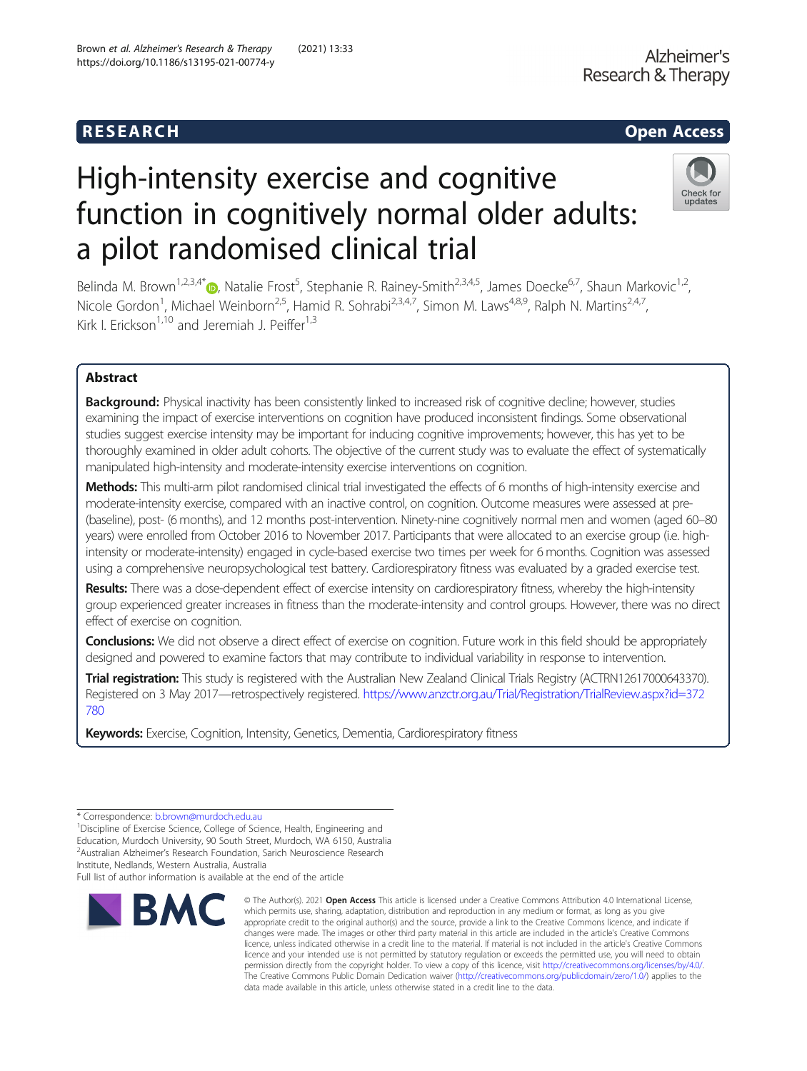# High-intensity exercise and cognitive function in cognitively normal older adults: a pilot randomised clinical trial



Belinda M. Brown<sup>1[,](http://orcid.org/0000-0001-7927-2540)2,3,4\*</sup> , Natalie Frost<sup>5</sup>, Stephanie R. Rainey-Smith<sup>2,3,4,5</sup>, James Doecke<sup>6,7</sup>, Shaun Markovic<sup>1,2</sup>, Nicole Gordon<sup>1</sup>, Michael Weinborn<sup>2,5</sup>, Hamid R. Sohrabi<sup>2,3,4,7</sup>, Simon M. Laws<sup>4,8,9</sup>, Ralph N. Martins<sup>2,4,7</sup>, Kirk I. Erickson<sup>1,10</sup> and Jeremiah J. Peiffer<sup>1,3</sup>

# Abstract

Background: Physical inactivity has been consistently linked to increased risk of cognitive decline; however, studies examining the impact of exercise interventions on cognition have produced inconsistent findings. Some observational studies suggest exercise intensity may be important for inducing cognitive improvements; however, this has yet to be thoroughly examined in older adult cohorts. The objective of the current study was to evaluate the effect of systematically manipulated high-intensity and moderate-intensity exercise interventions on cognition.

Methods: This multi-arm pilot randomised clinical trial investigated the effects of 6 months of high-intensity exercise and moderate-intensity exercise, compared with an inactive control, on cognition. Outcome measures were assessed at pre- (baseline), post- (6 months), and 12 months post-intervention. Ninety-nine cognitively normal men and women (aged 60–80 years) were enrolled from October 2016 to November 2017. Participants that were allocated to an exercise group (i.e. highintensity or moderate-intensity) engaged in cycle-based exercise two times per week for 6 months. Cognition was assessed using a comprehensive neuropsychological test battery. Cardiorespiratory fitness was evaluated by a graded exercise test.

Results: There was a dose-dependent effect of exercise intensity on cardiorespiratory fitness, whereby the high-intensity group experienced greater increases in fitness than the moderate-intensity and control groups. However, there was no direct effect of exercise on cognition.

Conclusions: We did not observe a direct effect of exercise on cognition. Future work in this field should be appropriately designed and powered to examine factors that may contribute to individual variability in response to intervention.

Trial registration: This study is registered with the Australian New Zealand Clinical Trials Registry (ACTRN12617000643370). Registered on 3 May 2017—retrospectively registered. [https://www.anzctr.org.au/Trial/Registration/TrialReview.aspx?id=372](https://www.anzctr.org.au/Trial/Registration/TrialReview.aspx?id=372780) [780](https://www.anzctr.org.au/Trial/Registration/TrialReview.aspx?id=372780)

Keywords: Exercise, Cognition, Intensity, Genetics, Dementia, Cardiorespiratory fitness

<sup>1</sup>Discipline of Exercise Science, College of Science, Health, Engineering and Education, Murdoch University, 90 South Street, Murdoch, WA 6150, Australia

2 Australian Alzheimer's Research Foundation, Sarich Neuroscience Research

Institute, Nedlands, Western Australia, Australia

Full list of author information is available at the end of the article



<sup>©</sup> The Author(s), 2021 **Open Access** This article is licensed under a Creative Commons Attribution 4.0 International License, which permits use, sharing, adaptation, distribution and reproduction in any medium or format, as long as you give appropriate credit to the original author(s) and the source, provide a link to the Creative Commons licence, and indicate if changes were made. The images or other third party material in this article are included in the article's Creative Commons licence, unless indicated otherwise in a credit line to the material. If material is not included in the article's Creative Commons licence and your intended use is not permitted by statutory regulation or exceeds the permitted use, you will need to obtain permission directly from the copyright holder. To view a copy of this licence, visit [http://creativecommons.org/licenses/by/4.0/.](http://creativecommons.org/licenses/by/4.0/) The Creative Commons Public Domain Dedication waiver [\(http://creativecommons.org/publicdomain/zero/1.0/](http://creativecommons.org/publicdomain/zero/1.0/)) applies to the data made available in this article, unless otherwise stated in a credit line to the data.

<sup>\*</sup> Correspondence: [b.brown@murdoch.edu.au](mailto:b.brown@murdoch.edu.au) <sup>1</sup>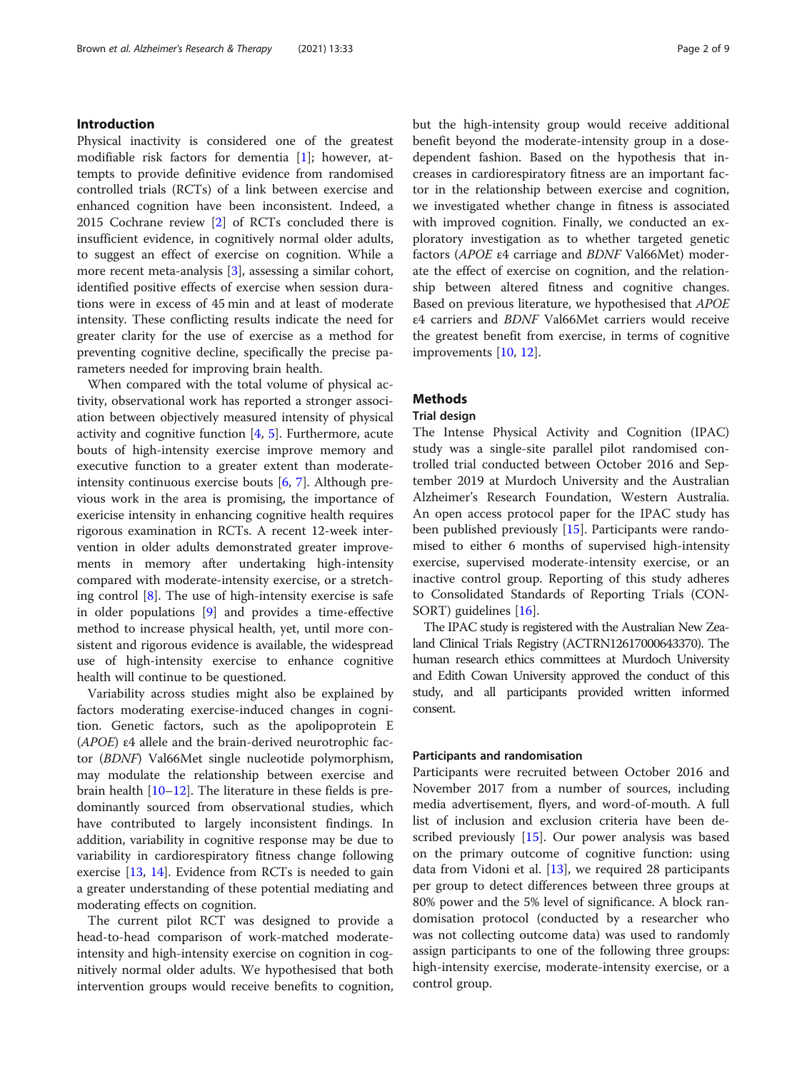# Introduction

Physical inactivity is considered one of the greatest modifiable risk factors for dementia [[1\]](#page-8-0); however, attempts to provide definitive evidence from randomised controlled trials (RCTs) of a link between exercise and enhanced cognition have been inconsistent. Indeed, a 2015 Cochrane review [\[2](#page-8-0)] of RCTs concluded there is insufficient evidence, in cognitively normal older adults, to suggest an effect of exercise on cognition. While a more recent meta-analysis [[3\]](#page-8-0), assessing a similar cohort, identified positive effects of exercise when session durations were in excess of 45 min and at least of moderate intensity. These conflicting results indicate the need for greater clarity for the use of exercise as a method for preventing cognitive decline, specifically the precise parameters needed for improving brain health.

When compared with the total volume of physical activity, observational work has reported a stronger association between objectively measured intensity of physical activity and cognitive function [[4,](#page-8-0) [5\]](#page-8-0). Furthermore, acute bouts of high-intensity exercise improve memory and executive function to a greater extent than moderateintensity continuous exercise bouts [\[6](#page-8-0), [7](#page-8-0)]. Although previous work in the area is promising, the importance of exericise intensity in enhancing cognitive health requires rigorous examination in RCTs. A recent 12-week intervention in older adults demonstrated greater improvements in memory after undertaking high-intensity compared with moderate-intensity exercise, or a stretching control  $[8]$  $[8]$ . The use of high-intensity exercise is safe in older populations [\[9](#page-8-0)] and provides a time-effective method to increase physical health, yet, until more consistent and rigorous evidence is available, the widespread use of high-intensity exercise to enhance cognitive health will continue to be questioned.

Variability across studies might also be explained by factors moderating exercise-induced changes in cognition. Genetic factors, such as the apolipoprotein E (APOE) <sup>ε</sup>4 allele and the brain-derived neurotrophic factor (BDNF) Val66Met single nucleotide polymorphism, may modulate the relationship between exercise and brain health [\[10](#page-8-0)–[12\]](#page-8-0). The literature in these fields is predominantly sourced from observational studies, which have contributed to largely inconsistent findings. In addition, variability in cognitive response may be due to variability in cardiorespiratory fitness change following exercise [[13,](#page-8-0) [14\]](#page-8-0). Evidence from RCTs is needed to gain a greater understanding of these potential mediating and moderating effects on cognition.

The current pilot RCT was designed to provide a head-to-head comparison of work-matched moderateintensity and high-intensity exercise on cognition in cognitively normal older adults. We hypothesised that both intervention groups would receive benefits to cognition, but the high-intensity group would receive additional benefit beyond the moderate-intensity group in a dosedependent fashion. Based on the hypothesis that increases in cardiorespiratory fitness are an important factor in the relationship between exercise and cognition, we investigated whether change in fitness is associated with improved cognition. Finally, we conducted an exploratory investigation as to whether targeted genetic factors (APOE <sup>ε</sup>4 carriage and BDNF Val66Met) moderate the effect of exercise on cognition, and the relationship between altered fitness and cognitive changes. Based on previous literature, we hypothesised that APOE <sup>ε</sup>4 carriers and BDNF Val66Met carriers would receive the greatest benefit from exercise, in terms of cognitive improvements [\[10](#page-8-0), [12](#page-8-0)].

# Methods

#### Trial design

The Intense Physical Activity and Cognition (IPAC) study was a single-site parallel pilot randomised controlled trial conducted between October 2016 and September 2019 at Murdoch University and the Australian Alzheimer's Research Foundation, Western Australia. An open access protocol paper for the IPAC study has been published previously [\[15](#page-8-0)]. Participants were randomised to either 6 months of supervised high-intensity exercise, supervised moderate-intensity exercise, or an inactive control group. Reporting of this study adheres to Consolidated Standards of Reporting Trials (CON-SORT) guidelines [\[16\]](#page-8-0).

The IPAC study is registered with the Australian New Zealand Clinical Trials Registry (ACTRN12617000643370). The human research ethics committees at Murdoch University and Edith Cowan University approved the conduct of this study, and all participants provided written informed consent.

#### Participants and randomisation

Participants were recruited between October 2016 and November 2017 from a number of sources, including media advertisement, flyers, and word-of-mouth. A full list of inclusion and exclusion criteria have been described previously [\[15\]](#page-8-0). Our power analysis was based on the primary outcome of cognitive function: using data from Vidoni et al. [\[13](#page-8-0)], we required 28 participants per group to detect differences between three groups at 80% power and the 5% level of significance. A block randomisation protocol (conducted by a researcher who was not collecting outcome data) was used to randomly assign participants to one of the following three groups: high-intensity exercise, moderate-intensity exercise, or a control group.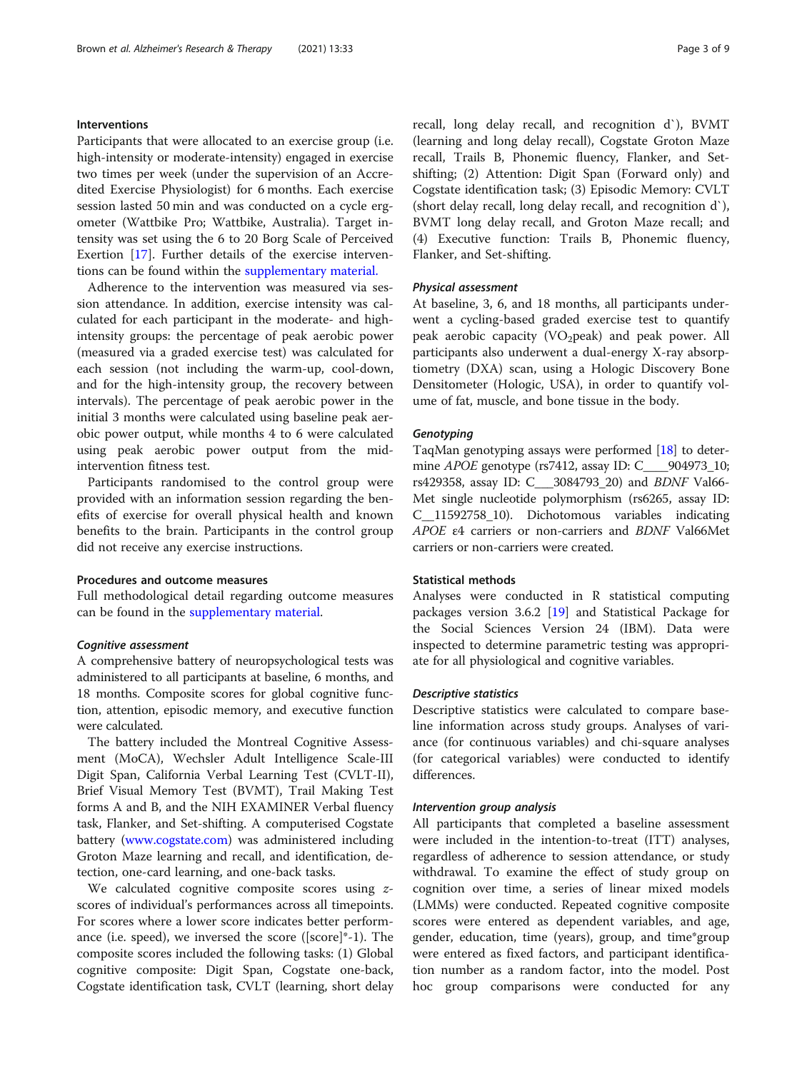# Interventions

Participants that were allocated to an exercise group (i.e. high-intensity or moderate-intensity) engaged in exercise two times per week (under the supervision of an Accredited Exercise Physiologist) for 6 months. Each exercise session lasted 50 min and was conducted on a cycle ergometer (Wattbike Pro; Wattbike, Australia). Target intensity was set using the 6 to 20 Borg Scale of Perceived Exertion [\[17](#page-8-0)]. Further details of the exercise interventions can be found within the [supplementary material.](#page-7-0)

Adherence to the intervention was measured via session attendance. In addition, exercise intensity was calculated for each participant in the moderate- and highintensity groups: the percentage of peak aerobic power (measured via a graded exercise test) was calculated for each session (not including the warm-up, cool-down, and for the high-intensity group, the recovery between intervals). The percentage of peak aerobic power in the initial 3 months were calculated using baseline peak aerobic power output, while months 4 to 6 were calculated using peak aerobic power output from the midintervention fitness test.

Participants randomised to the control group were provided with an information session regarding the benefits of exercise for overall physical health and known benefits to the brain. Participants in the control group did not receive any exercise instructions.

# Procedures and outcome measures

Full methodological detail regarding outcome measures can be found in the [supplementary material](#page-7-0).

# Cognitive assessment

A comprehensive battery of neuropsychological tests was administered to all participants at baseline, 6 months, and 18 months. Composite scores for global cognitive function, attention, episodic memory, and executive function were calculated.

The battery included the Montreal Cognitive Assessment (MoCA), Wechsler Adult Intelligence Scale-III Digit Span, California Verbal Learning Test (CVLT-II), Brief Visual Memory Test (BVMT), Trail Making Test forms A and B, and the NIH EXAMINER Verbal fluency task, Flanker, and Set-shifting. A computerised Cogstate battery ([www.cogstate.com](http://www.cogstate.com)) was administered including Groton Maze learning and recall, and identification, detection, one-card learning, and one-back tasks.

We calculated cognitive composite scores using zscores of individual's performances across all timepoints. For scores where a lower score indicates better performance (i.e. speed), we inversed the score ([score]\*-1). The composite scores included the following tasks: (1) Global cognitive composite: Digit Span, Cogstate one-back, Cogstate identification task, CVLT (learning, short delay recall, long delay recall, and recognition d`), BVMT (learning and long delay recall), Cogstate Groton Maze recall, Trails B, Phonemic fluency, Flanker, and Setshifting; (2) Attention: Digit Span (Forward only) and Cogstate identification task; (3) Episodic Memory: CVLT (short delay recall, long delay recall, and recognition d`), BVMT long delay recall, and Groton Maze recall; and (4) Executive function: Trails B, Phonemic fluency, Flanker, and Set-shifting.

### Physical assessment

At baseline, 3, 6, and 18 months, all participants underwent a cycling-based graded exercise test to quantify peak aerobic capacity (VO<sub>2</sub>peak) and peak power. All participants also underwent a dual-energy X-ray absorptiometry (DXA) scan, using a Hologic Discovery Bone Densitometer (Hologic, USA), in order to quantify volume of fat, muscle, and bone tissue in the body.

# **Genotyping**

TaqMan genotyping assays were performed [\[18](#page-8-0)] to determine APOE genotype (rs7412, assay ID: C\_\_\_\_904973\_10; rs429358, assay ID: C\_\_\_3084793\_20) and BDNF Val66- Met single nucleotide polymorphism (rs6265, assay ID: C\_\_11592758\_10). Dichotomous variables indicating APOE <sup>ε</sup>4 carriers or non-carriers and BDNF Val66Met carriers or non-carriers were created.

# Statistical methods

Analyses were conducted in R statistical computing packages version 3.6.2 [\[19](#page-8-0)] and Statistical Package for the Social Sciences Version 24 (IBM). Data were inspected to determine parametric testing was appropriate for all physiological and cognitive variables.

# Descriptive statistics

Descriptive statistics were calculated to compare baseline information across study groups. Analyses of variance (for continuous variables) and chi-square analyses (for categorical variables) were conducted to identify differences.

## Intervention group analysis

All participants that completed a baseline assessment were included in the intention-to-treat (ITT) analyses, regardless of adherence to session attendance, or study withdrawal. To examine the effect of study group on cognition over time, a series of linear mixed models (LMMs) were conducted. Repeated cognitive composite scores were entered as dependent variables, and age, gender, education, time (years), group, and time\*group were entered as fixed factors, and participant identification number as a random factor, into the model. Post hoc group comparisons were conducted for any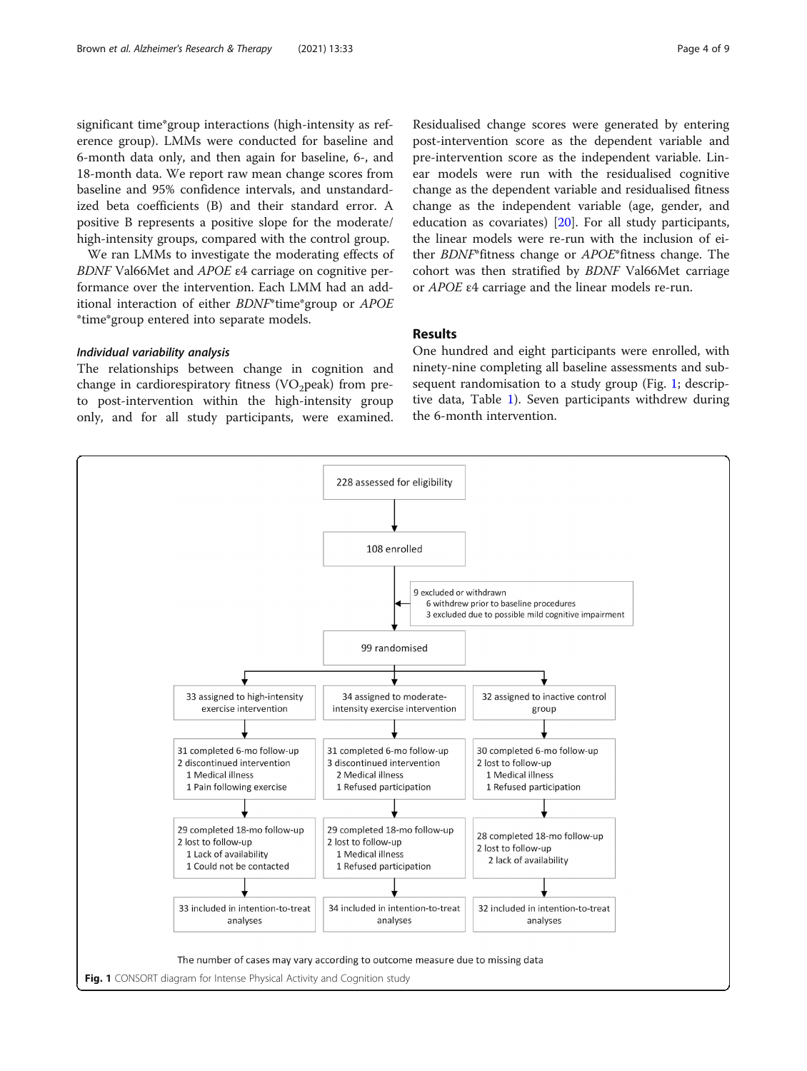significant time\*group interactions (high-intensity as reference group). LMMs were conducted for baseline and 6-month data only, and then again for baseline, 6-, and 18-month data. We report raw mean change scores from baseline and 95% confidence intervals, and unstandardized beta coefficients (B) and their standard error. A positive B represents a positive slope for the moderate/ high-intensity groups, compared with the control group.

We ran LMMs to investigate the moderating effects of BDNF Val66Met and APOE <sup>ε</sup>4 carriage on cognitive performance over the intervention. Each LMM had an additional interaction of either BDNF\*time\*group or APOE \*time\*group entered into separate models.

#### Individual variability analysis

The relationships between change in cognition and change in cardiorespiratory fitness (VO<sub>2</sub>peak) from preto post-intervention within the high-intensity group only, and for all study participants, were examined.

Residualised change scores were generated by entering post-intervention score as the dependent variable and pre-intervention score as the independent variable. Linear models were run with the residualised cognitive change as the dependent variable and residualised fitness change as the independent variable (age, gender, and education as covariates) [[20\]](#page-8-0). For all study participants, the linear models were re-run with the inclusion of either BDNF\*fitness change or APOE\*fitness change. The cohort was then stratified by BDNF Val66Met carriage or APOE <sup>ε</sup>4 carriage and the linear models re-run.

# Results

One hundred and eight participants were enrolled, with ninety-nine completing all baseline assessments and subsequent randomisation to a study group (Fig. 1; descriptive data, Table [1](#page-4-0)). Seven participants withdrew during the 6-month intervention.

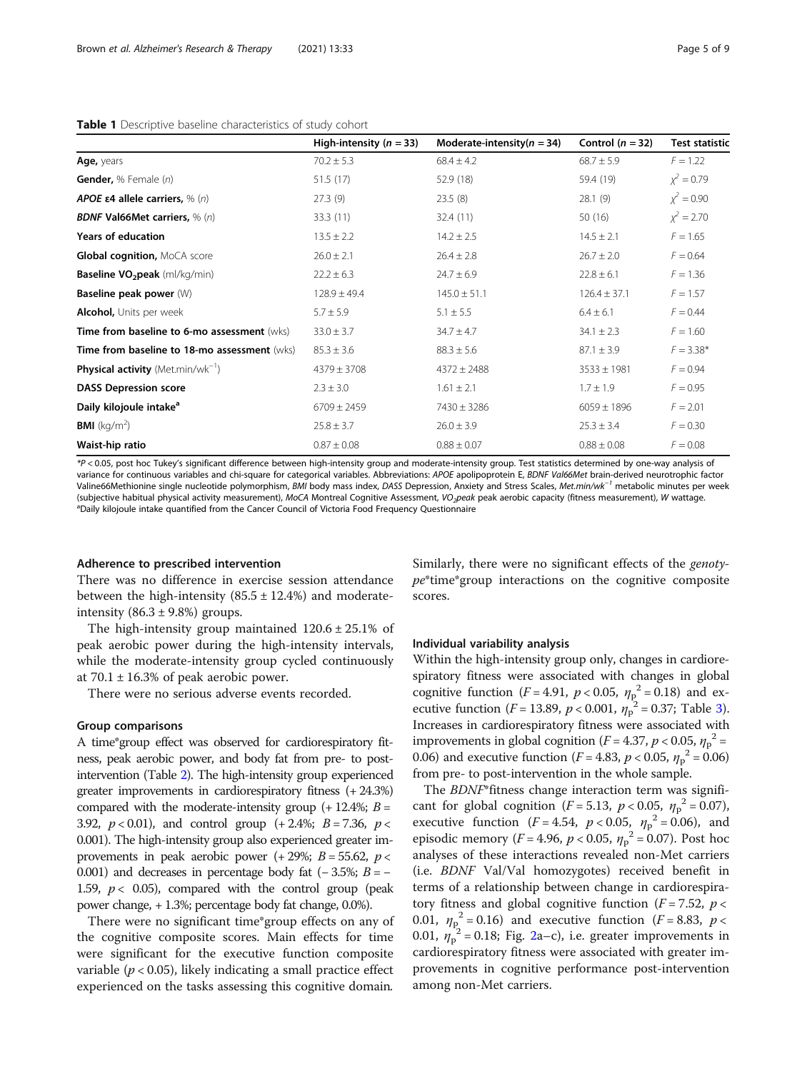#### <span id="page-4-0"></span>Table 1 Descriptive baseline characteristics of study cohort

|                                                      | High-intensity ( $n = 33$ ) | Moderate-intensity( $n = 34$ ) | Control $(n = 32)$ | <b>Test statistic</b> |
|------------------------------------------------------|-----------------------------|--------------------------------|--------------------|-----------------------|
| Age, years                                           | $70.2 \pm 5.3$              | $68.4 \pm 4.2$                 | $68.7 \pm 5.9$     | $F = 1.22$            |
| Gender, % Female (n)                                 | 51.5(17)                    | 52.9 (18)                      | 59.4 (19)          | $x^2 = 0.79$          |
| APOE $\epsilon$ 4 allele carriers, % (n)             | 27.3(9)                     | 23.5(8)                        | 28.1(9)            | $x^2 = 0.90$          |
| <b>BDNF Val66Met carriers, % (n)</b>                 | 33.3 (11)                   | 32.4(11)                       | 50(16)             | $x^2 = 2.70$          |
| <b>Years of education</b>                            | $13.5 \pm 2.2$              | $14.2 \pm 2.5$                 | $14.5 \pm 2.1$     | $F = 1.65$            |
| Global cognition, MoCA score                         | $26.0 \pm 2.1$              | $26.4 \pm 2.8$                 | $26.7 \pm 2.0$     | $F = 0.64$            |
| Baseline VO <sub>2</sub> peak (ml/kg/min)            | $22.2 \pm 6.3$              | $24.7 \pm 6.9$                 | $22.8 \pm 6.1$     | $F = 1.36$            |
| Baseline peak power (W)                              | $128.9 \pm 49.4$            | $145.0 \pm 51.1$               | $126.4 \pm 37.1$   | $F = 1.57$            |
| <b>Alcohol, Units per week</b>                       | $5.7 \pm 5.9$               | $5.1 \pm 5.5$                  | $6.4 \pm 6.1$      | $F = 0.44$            |
| Time from baseline to 6-mo assessment (wks)          | $33.0 \pm 3.7$              | $34.7 \pm 4.7$                 | $34.1 \pm 2.3$     | $F = 1.60$            |
| Time from baseline to 18-mo assessment (wks)         | $85.3 \pm 3.6$              | $88.3 \pm 5.6$                 | $87.1 \pm 3.9$     | $F = 3.38*$           |
| <b>Physical activity</b> (Met.min/wk <sup>-1</sup> ) | $4379 \pm 3708$             | $4372 \pm 2488$                | $3533 \pm 1981$    | $F = 0.94$            |
| <b>DASS Depression score</b>                         | $2.3 \pm 3.0$               | $1.61 \pm 2.1$                 | $1.7 \pm 1.9$      | $F = 0.95$            |
| Daily kilojoule intake <sup>a</sup>                  | $6709 \pm 2459$             | $7430 \pm 3286$                | $6059 \pm 1896$    | $F = 2.01$            |
| <b>BMI</b> ( $kg/m2$ )                               | $25.8 \pm 3.7$              | $26.0 \pm 3.9$                 | $25.3 \pm 3.4$     | $F = 0.30$            |
| Waist-hip ratio                                      | $0.87 \pm 0.08$             | $0.88 \pm 0.07$                | $0.88 \pm 0.08$    | $F = 0.08$            |

\*P < 0.05, post hoc Tukey's significant difference between high-intensity group and moderate-intensity group. Test statistics determined by one-way analysis of variance for continuous variables and chi-square for categorical variables. Abbreviations: APOE apolipoprotein E, BDNF Val66Met brain-derived neurotrophic factor Valine66Methionine single nucleotide polymorphism, BMI body mass index, DASS Depression, Anxiety and Stress Scales, Met.min/wk<sup>-1</sup> metabolic minutes per week (subjective habitual physical activity measurement), MoCA Montreal Cognitive Assessment, VO<sub>2</sub>peak peak aerobic capacity (fitness measurement), W wattage. <sup>a</sup>Daily kilojoule intake quantified from the Cancer Council of Victoria Food Frequency Questionnaire

#### Adherence to prescribed intervention

There was no difference in exercise session attendance between the high-intensity  $(85.5 \pm 12.4\%)$  and moderateintensity  $(86.3 \pm 9.8\%)$  groups.

The high-intensity group maintained  $120.6 \pm 25.1\%$  of peak aerobic power during the high-intensity intervals, while the moderate-intensity group cycled continuously at  $70.1 \pm 16.3\%$  of peak aerobic power.

There were no serious adverse events recorded.

# Group comparisons

A time\*group effect was observed for cardiorespiratory fitness, peak aerobic power, and body fat from pre- to postintervention (Table [2\)](#page-5-0). The high-intensity group experienced greater improvements in cardiorespiratory fitness (+ 24.3%) compared with the moderate-intensity group  $(+ 12.4\%; B =$ 3.92,  $p < 0.01$ ), and control group  $(+2.4\%; B = 7.36, p <$ 0.001). The high-intensity group also experienced greater improvements in peak aerobic power (+ 29%;  $B = 55.62$ ,  $p <$ 0.001) and decreases in percentage body fat  $(-3.5\%; B = -$ 1.59,  $p < 0.05$ ), compared with the control group (peak power change, + 1.3%; percentage body fat change, 0.0%).

There were no significant time\*group effects on any of the cognitive composite scores. Main effects for time were significant for the executive function composite variable ( $p < 0.05$ ), likely indicating a small practice effect experienced on the tasks assessing this cognitive domain.

Similarly, there were no significant effects of the genotype\*time\*group interactions on the cognitive composite scores.

#### Individual variability analysis

Within the high-intensity group only, changes in cardiorespiratory fitness were associated with changes in global cognitive function  $(F = 4.91, p < 0.05, \eta_p^2 = 0.18)$  and ex-<br>equitive function  $(F = 13.89, p < 0.001, p^2 = 0.37$ . Table 3) ecutive function ( $F = 13.89$  $F = 13.89$  $F = 13.89$ ,  $p < 0.001$ ,  $\eta_p^2 = 0.37$ ; Table 3). Increases in cardiorespiratory fitness were associated with improvements in global cognition  $(F = 4.37, p < 0.05, \eta_p^2 = 0.06)$  and executive function  $(F = 4.83, p < 0.05, n^2 = 0.06)$ 0.06) and executive function  $(F = 4.83, p < 0.05, \eta_p^2 = 0.06)$ <br>from pre-to-post intervention in the whole sample from pre- to post-intervention in the whole sample.

The BDNF\*fitness change interaction term was significant for global cognition  $(F = 5.13, p < 0.05, \eta_p^2 = 0.07)$ , executive function  $(F = 4.54, p < 0.05, \eta_p^2 = 0.06)$ , and<br>enjoying memory  $(F = 4.96, p < 0.05, p^2 = 0.07)$ . Bost bog episodic memory ( $F = 4.96$ ,  $p < 0.05$ ,  $\eta_p^2 = 0.07$ ). Post hoc analyses of these interactions revealed non-Met carriers (i.e. BDNF Val/Val homozygotes) received benefit in terms of a relationship between change in cardiorespiratory fitness and global cognitive function ( $F = 7.52$ ,  $p <$ 0.01,  $\eta_p^2 = 0.16$  $\eta_p^2 = 0.16$  $\eta_p^2 = 0.16$ ) and executive function ( $F = 8.83$ ,  $p < 0.01$ ,  $\eta_p^2 = 0.18$ ; Fig. 2a–c), i.e. greater improvements in cardiorespiratory fitness were associated with greater improvements in cognitive performance post-intervention among non-Met carriers.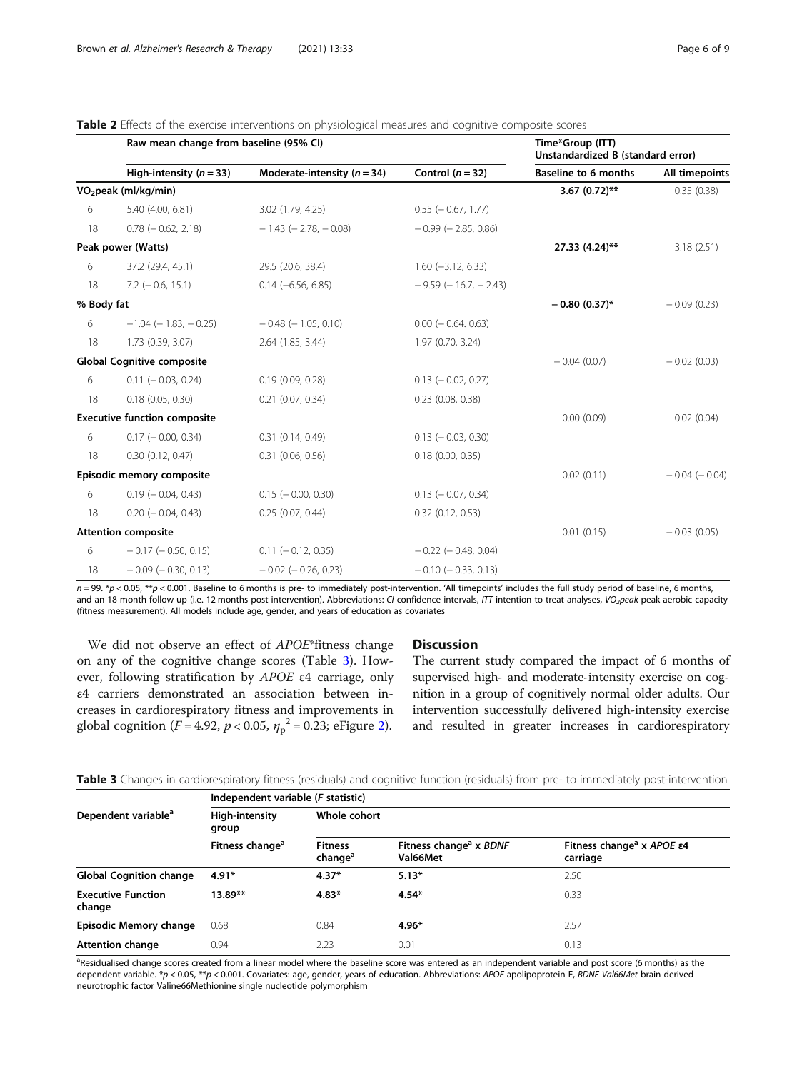<span id="page-5-0"></span>

| <b>Table 2</b> Effects of the exercise interventions on physiological measures and cognitive composite scores |  |  |
|---------------------------------------------------------------------------------------------------------------|--|--|
|                                                                                                               |  |  |

|            | Raw mean change from baseline (95% CI) |                                 | Time*Group (ITT)<br>Unstandardized B (standard error) |                             |                   |
|------------|----------------------------------------|---------------------------------|-------------------------------------------------------|-----------------------------|-------------------|
|            | High-intensity ( $n = 33$ )            | Moderate-intensity ( $n = 34$ ) | Control $(n = 32)$                                    | <b>Baseline to 6 months</b> | All timepoints    |
|            | VO <sub>2</sub> peak (ml/kg/min)       |                                 |                                                       | 3.67 $(0.72)$ **            | 0.35(0.38)        |
| 6          | 5.40 (4.00, 6.81)                      | 3.02 (1.79, 4.25)               | $0.55$ ( $-0.67$ , 1.77)                              |                             |                   |
| 18         | $0.78$ ( $-0.62$ , 2.18)               | $-1.43$ ( $-2.78$ , $-0.08$ )   | $-0.99$ ( $-2.85$ , 0.86)                             |                             |                   |
|            | Peak power (Watts)                     |                                 |                                                       | 27.33 (4.24)**              | 3.18(2.51)        |
| 6          | 37.2 (29.4, 45.1)                      | 29.5 (20.6, 38.4)               | $1.60$ (-3.12, 6.33)                                  |                             |                   |
| 18         | $7.2$ ( $-0.6$ , 15.1)                 | $0.14 (-6.56, 6.85)$            | $-9.59$ ( $-16.7$ , $-2.43$ )                         |                             |                   |
| % Body fat |                                        |                                 |                                                       | $-0.80(0.37)$ *             | $-0.09(0.23)$     |
| 6          | $-1.04$ ( $-1.83$ , $-0.25$ )          | $-0.48$ ( $-1.05$ , 0.10)       | $0.00$ ( $-0.64$ , 0.63)                              |                             |                   |
| 18         | 1.73 (0.39, 3.07)                      | 2.64 (1.85, 3.44)               | 1.97 (0.70, 3.24)                                     |                             |                   |
|            | <b>Global Cognitive composite</b>      |                                 |                                                       | $-0.04(0.07)$               | $-0.02(0.03)$     |
| 6          | $0.11 (-0.03, 0.24)$                   | 0.19(0.09, 0.28)                | $0.13$ ( $-0.02$ , 0.27)                              |                             |                   |
| 18         | 0.18(0.05, 0.30)                       | $0.21$ $(0.07, 0.34)$           | $0.23$ $(0.08, 0.38)$                                 |                             |                   |
|            | <b>Executive function composite</b>    |                                 |                                                       | 0.00(0.09)                  | 0.02(0.04)        |
| 6          | $0.17$ ( $-0.00$ , 0.34)               | 0.31(0.14, 0.49)                | $0.13$ ( $-0.03$ , 0.30)                              |                             |                   |
| 18         | 0.30(0.12, 0.47)                       | 0.31(0.06, 0.56)                | $0.18$ (0.00, 0.35)                                   |                             |                   |
|            | Episodic memory composite              |                                 |                                                       | 0.02(0.11)                  | $-0.04$ $(-0.04)$ |
| 6          | $0.19$ ( $-0.04$ , 0.43)               | $0.15$ ( $-0.00$ , 0.30)        | $0.13$ ( $-0.07$ , 0.34)                              |                             |                   |
| 18         | $0.20$ ( $-0.04$ , 0.43)               | 0.25(0.07, 0.44)                | $0.32$ $(0.12, 0.53)$                                 |                             |                   |
|            | <b>Attention composite</b>             |                                 |                                                       | 0.01(0.15)                  | $-0.03(0.05)$     |
| 6          | $-0.17$ ( $-0.50$ , 0.15)              | $0.11 (-0.12, 0.35)$            | $-0.22$ ( $-0.48$ , 0.04)                             |                             |                   |
| 18         | $-0.09$ ( $-0.30$ , 0.13)              | $-0.02$ ( $-0.26$ , 0.23)       | $-0.10$ ( $-0.33$ , 0.13)                             |                             |                   |

 $n = 99$ . \*p < 0.05, \*\*p < 0.001. Baseline to 6 months is pre- to immediately post-intervention. 'All timepoints' includes the full study period of baseline, 6 months, and an 18-month follow-up (i.e. 12 months post-intervention). Abbreviations: CI confidence intervals, ITT intention-to-treat analyses, VO<sub>2</sub>peak peak aerobic capacity (fitness measurement). All models include age, gender, and years of education as covariates

We did not observe an effect of APOE\*fitness change on any of the cognitive change scores (Table 3). However, following stratification by APOE <sup>ε</sup>4 carriage, only ε4 carriers demonstrated an association between increases in cardiorespiratory fitness and improvements in global cognition (*F* = 4.92, *p* < 0.05,  $\eta_p^2$  = 0.23; eFigure [2\)](#page-7-0).

# **Discussion**

The current study compared the impact of 6 months of supervised high- and moderate-intensity exercise on cognition in a group of cognitively normal older adults. Our intervention successfully delivered high-intensity exercise and resulted in greater increases in cardiorespiratory

|  |  |  |  |  | Table 3 Changes in cardiorespiratory fitness (residuals) and cognitive function (residuals) from pre- to immediately post-intervention |
|--|--|--|--|--|----------------------------------------------------------------------------------------------------------------------------------------|
|  |  |  |  |  |                                                                                                                                        |

|                                     | Independent variable (F statistic) |                                       |                                                |                                                                |  |  |  |
|-------------------------------------|------------------------------------|---------------------------------------|------------------------------------------------|----------------------------------------------------------------|--|--|--|
| Dependent variable <sup>ª</sup>     | High-intensity<br>group            | Whole cohort                          |                                                |                                                                |  |  |  |
|                                     | Fitness change <sup>a</sup>        | <b>Fitness</b><br>change <sup>a</sup> | Fitness change <sup>a</sup> x BDNF<br>Val66Met | Fitness change <sup>a</sup> x APOE $\varepsilon$ 4<br>carriage |  |  |  |
| <b>Global Cognition change</b>      | $4.91*$                            | $4.37*$                               | $5.13*$                                        | 2.50                                                           |  |  |  |
| <b>Executive Function</b><br>change | $13.89**$                          | $4.83*$                               | $4.54*$                                        | 0.33                                                           |  |  |  |
| Episodic Memory change              | 0.68                               | 0.84                                  | 4.96*                                          | 2.57                                                           |  |  |  |
| <b>Attention change</b>             | 0.94                               | 2.23                                  | 0.01                                           | 0.13                                                           |  |  |  |

<sup>a</sup>Residualised change scores created from a linear model where the baseline score was entered as an independent variable and post score (6 months) as the dependent variable. \*p < 0.05, \*\*p < 0.001. Covariates: age, gender, years of education. Abbreviations: APOE apolipoprotein E, BDNF Val66Met brain-derived neurotrophic factor Valine66Methionine single nucleotide polymorphism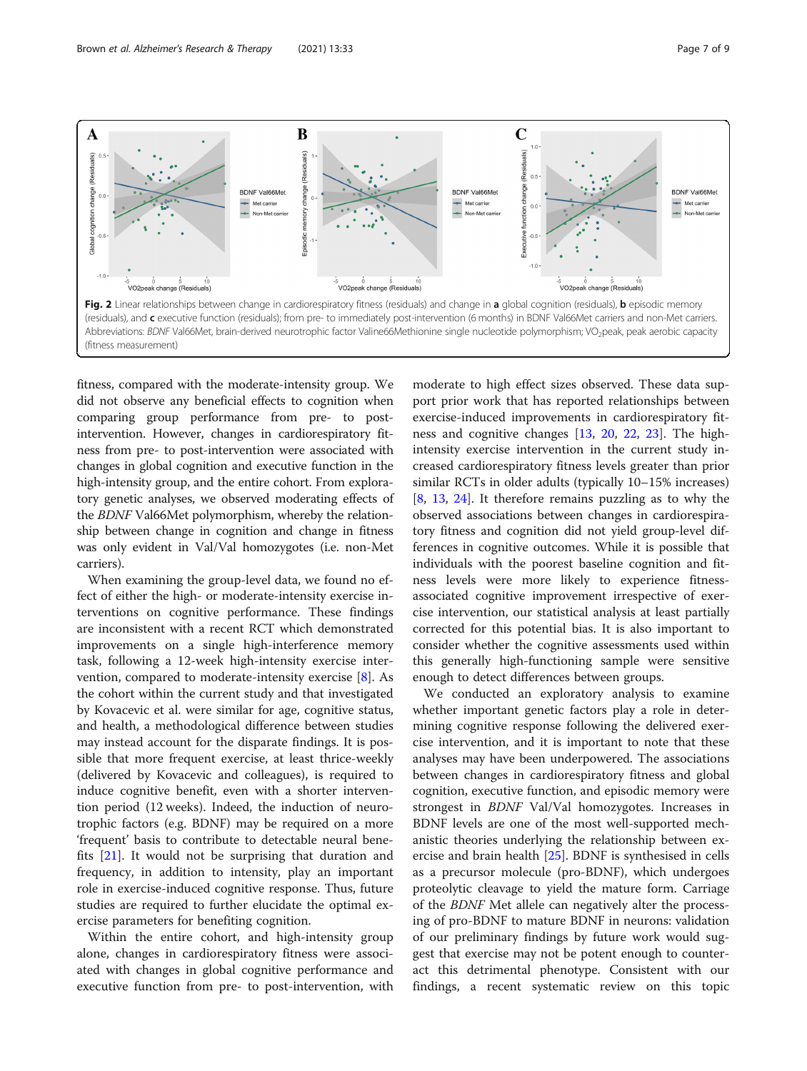<span id="page-6-0"></span>

fitness, compared with the moderate-intensity group. We did not observe any beneficial effects to cognition when comparing group performance from pre- to postintervention. However, changes in cardiorespiratory fitness from pre- to post-intervention were associated with changes in global cognition and executive function in the high-intensity group, and the entire cohort. From exploratory genetic analyses, we observed moderating effects of the BDNF Val66Met polymorphism, whereby the relationship between change in cognition and change in fitness was only evident in Val/Val homozygotes (i.e. non-Met carriers).

When examining the group-level data, we found no effect of either the high- or moderate-intensity exercise interventions on cognitive performance. These findings are inconsistent with a recent RCT which demonstrated improvements on a single high-interference memory task, following a 12-week high-intensity exercise intervention, compared to moderate-intensity exercise [\[8](#page-8-0)]. As the cohort within the current study and that investigated by Kovacevic et al. were similar for age, cognitive status, and health, a methodological difference between studies may instead account for the disparate findings. It is possible that more frequent exercise, at least thrice-weekly (delivered by Kovacevic and colleagues), is required to induce cognitive benefit, even with a shorter intervention period (12 weeks). Indeed, the induction of neurotrophic factors (e.g. BDNF) may be required on a more 'frequent' basis to contribute to detectable neural benefits [[21\]](#page-8-0). It would not be surprising that duration and frequency, in addition to intensity, play an important role in exercise-induced cognitive response. Thus, future studies are required to further elucidate the optimal exercise parameters for benefiting cognition.

Within the entire cohort, and high-intensity group alone, changes in cardiorespiratory fitness were associated with changes in global cognitive performance and executive function from pre- to post-intervention, with

moderate to high effect sizes observed. These data support prior work that has reported relationships between exercise-induced improvements in cardiorespiratory fitness and cognitive changes [\[13](#page-8-0), [20,](#page-8-0) [22](#page-8-0), [23\]](#page-8-0). The highintensity exercise intervention in the current study increased cardiorespiratory fitness levels greater than prior similar RCTs in older adults (typically 10–15% increases) [[8,](#page-8-0) [13,](#page-8-0) [24\]](#page-8-0). It therefore remains puzzling as to why the observed associations between changes in cardiorespiratory fitness and cognition did not yield group-level differences in cognitive outcomes. While it is possible that individuals with the poorest baseline cognition and fitness levels were more likely to experience fitnessassociated cognitive improvement irrespective of exercise intervention, our statistical analysis at least partially corrected for this potential bias. It is also important to consider whether the cognitive assessments used within this generally high-functioning sample were sensitive enough to detect differences between groups.

We conducted an exploratory analysis to examine whether important genetic factors play a role in determining cognitive response following the delivered exercise intervention, and it is important to note that these analyses may have been underpowered. The associations between changes in cardiorespiratory fitness and global cognition, executive function, and episodic memory were strongest in BDNF Val/Val homozygotes. Increases in BDNF levels are one of the most well-supported mechanistic theories underlying the relationship between exercise and brain health [[25](#page-8-0)]. BDNF is synthesised in cells as a precursor molecule (pro-BDNF), which undergoes proteolytic cleavage to yield the mature form. Carriage of the BDNF Met allele can negatively alter the processing of pro-BDNF to mature BDNF in neurons: validation of our preliminary findings by future work would suggest that exercise may not be potent enough to counteract this detrimental phenotype. Consistent with our findings, a recent systematic review on this topic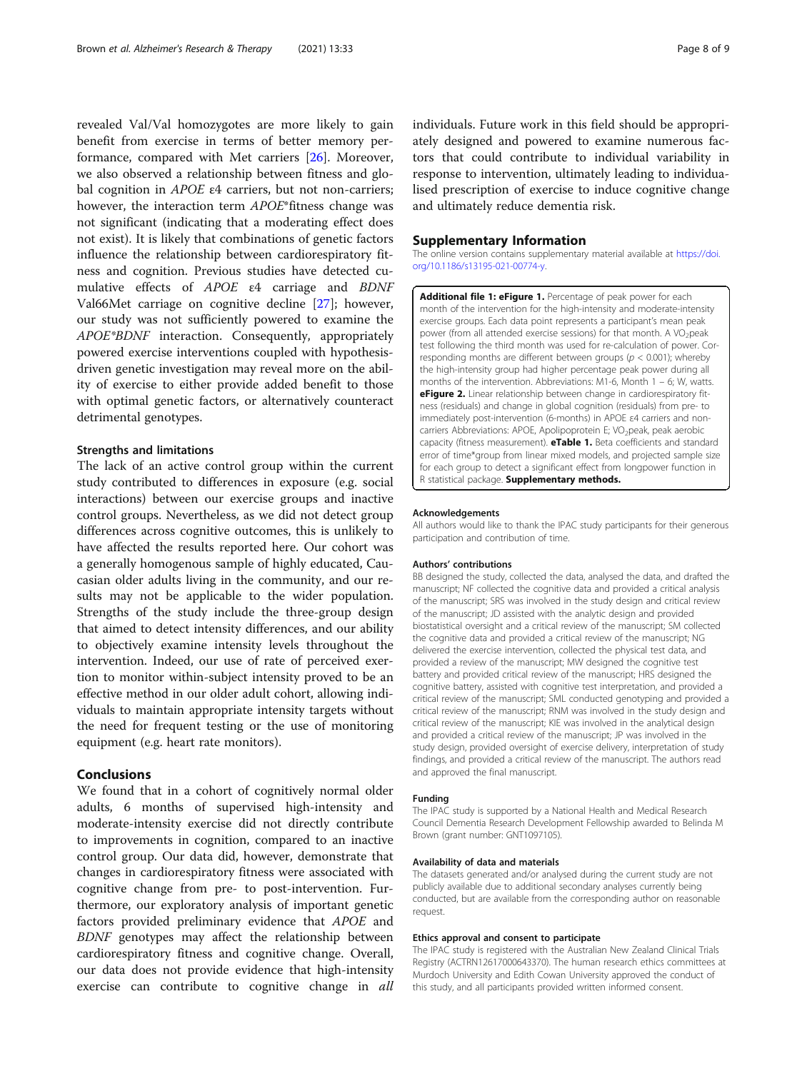<span id="page-7-0"></span>revealed Val/Val homozygotes are more likely to gain benefit from exercise in terms of better memory performance, compared with Met carriers [[26\]](#page-8-0). Moreover, we also observed a relationship between fitness and global cognition in APOE <sup>ε</sup>4 carriers, but not non-carriers; however, the interaction term APOE\*fitness change was not significant (indicating that a moderating effect does not exist). It is likely that combinations of genetic factors influence the relationship between cardiorespiratory fitness and cognition. Previous studies have detected cumulative effects of APOE <sup>ε</sup>4 carriage and BDNF Val66Met carriage on cognitive decline [[27\]](#page-8-0); however, our study was not sufficiently powered to examine the APOE\*BDNF interaction. Consequently, appropriately powered exercise interventions coupled with hypothesisdriven genetic investigation may reveal more on the ability of exercise to either provide added benefit to those with optimal genetic factors, or alternatively counteract detrimental genotypes.

# Strengths and limitations

The lack of an active control group within the current study contributed to differences in exposure (e.g. social interactions) between our exercise groups and inactive control groups. Nevertheless, as we did not detect group differences across cognitive outcomes, this is unlikely to have affected the results reported here. Our cohort was a generally homogenous sample of highly educated, Caucasian older adults living in the community, and our results may not be applicable to the wider population. Strengths of the study include the three-group design that aimed to detect intensity differences, and our ability to objectively examine intensity levels throughout the intervention. Indeed, our use of rate of perceived exertion to monitor within-subject intensity proved to be an effective method in our older adult cohort, allowing individuals to maintain appropriate intensity targets without the need for frequent testing or the use of monitoring equipment (e.g. heart rate monitors).

# Conclusions

We found that in a cohort of cognitively normal older adults, 6 months of supervised high-intensity and moderate-intensity exercise did not directly contribute to improvements in cognition, compared to an inactive control group. Our data did, however, demonstrate that changes in cardiorespiratory fitness were associated with cognitive change from pre- to post-intervention. Furthermore, our exploratory analysis of important genetic factors provided preliminary evidence that APOE and BDNF genotypes may affect the relationship between cardiorespiratory fitness and cognitive change. Overall, our data does not provide evidence that high-intensity exercise can contribute to cognitive change in all

individuals. Future work in this field should be appropriately designed and powered to examine numerous factors that could contribute to individual variability in response to intervention, ultimately leading to individualised prescription of exercise to induce cognitive change and ultimately reduce dementia risk.

#### Supplementary Information

The online version contains supplementary material available at [https://doi.](https://doi.org/10.1186/s13195-021-00774-y) [org/10.1186/s13195-021-00774-y](https://doi.org/10.1186/s13195-021-00774-y).

Additional file 1: eFigure 1. Percentage of peak power for each month of the intervention for the high-intensity and moderate-intensity exercise groups. Each data point represents a participant's mean peak power (from all attended exercise sessions) for that month. A VO<sub>2</sub>peak test following the third month was used for re-calculation of power. Corresponding months are different between groups ( $p < 0.001$ ); whereby the high-intensity group had higher percentage peak power during all months of the intervention. Abbreviations: M1-6, Month 1 – 6; W, watts. **eFigure 2.** Linear relationship between change in cardiorespiratory fitness (residuals) and change in global cognition (residuals) from pre- to immediately post-intervention (6-months) in APOE ε4 carriers and noncarriers Abbreviations: APOE, Apolipoprotein E; VO<sub>2</sub>peak, peak aerobic capacity (fitness measurement). **eTable 1.** Beta coefficients and standard error of time\*group from linear mixed models, and projected sample size for each group to detect a significant effect from longpower function in R statistical package. Supplementary methods.

#### Acknowledgements

All authors would like to thank the IPAC study participants for their generous participation and contribution of time.

#### Authors' contributions

BB designed the study, collected the data, analysed the data, and drafted the manuscript; NF collected the cognitive data and provided a critical analysis of the manuscript; SRS was involved in the study design and critical review of the manuscript; JD assisted with the analytic design and provided biostatistical oversight and a critical review of the manuscript; SM collected the cognitive data and provided a critical review of the manuscript; NG delivered the exercise intervention, collected the physical test data, and provided a review of the manuscript; MW designed the cognitive test battery and provided critical review of the manuscript; HRS designed the cognitive battery, assisted with cognitive test interpretation, and provided a critical review of the manuscript; SML conducted genotyping and provided a critical review of the manuscript; RNM was involved in the study design and critical review of the manuscript; KIE was involved in the analytical design and provided a critical review of the manuscript; JP was involved in the study design, provided oversight of exercise delivery, interpretation of study findings, and provided a critical review of the manuscript. The authors read and approved the final manuscript.

#### Funding

The IPAC study is supported by a National Health and Medical Research Council Dementia Research Development Fellowship awarded to Belinda M Brown (grant number: GNT1097105).

#### Availability of data and materials

The datasets generated and/or analysed during the current study are not publicly available due to additional secondary analyses currently being conducted, but are available from the corresponding author on reasonable request.

#### Ethics approval and consent to participate

The IPAC study is registered with the Australian New Zealand Clinical Trials Registry (ACTRN12617000643370). The human research ethics committees at Murdoch University and Edith Cowan University approved the conduct of this study, and all participants provided written informed consent.